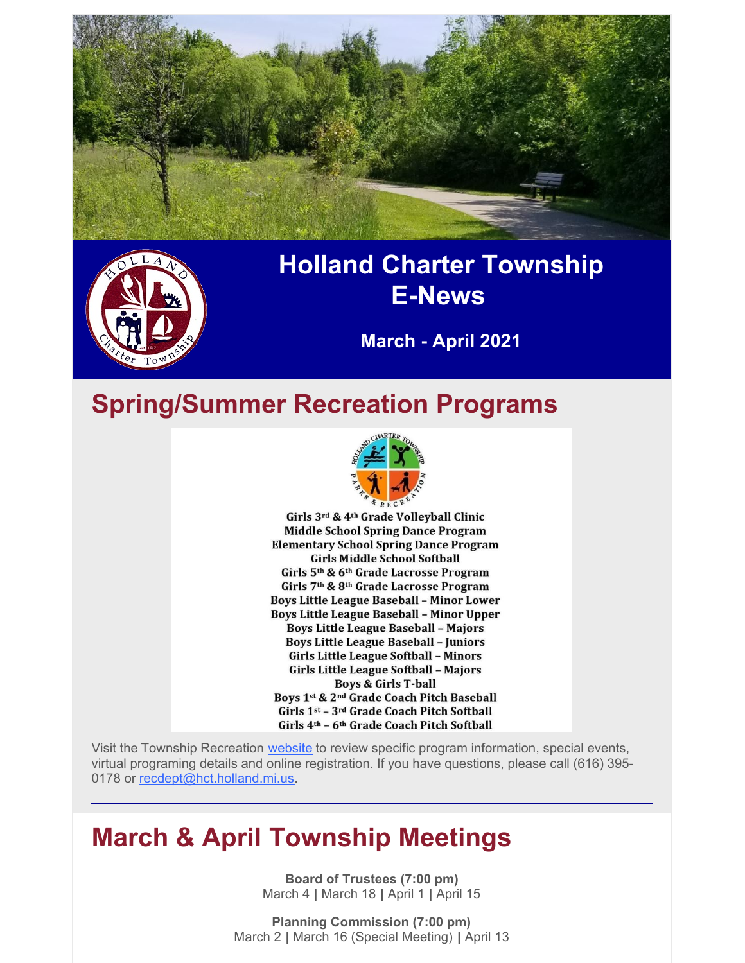

### **March - April 2021**

### **Spring/Summer Recreation Programs**



Girls 3rd & 4th Grade Volleyball Clinic **Middle School Spring Dance Program Elementary School Spring Dance Program Girls Middle School Softball** Girls 5th & 6th Grade Lacrosse Program Girls 7th & 8th Grade Lacrosse Program **Boys Little League Baseball - Minor Lower Boys Little League Baseball - Minor Upper Boys Little League Baseball - Majors Boys Little League Baseball - Juniors** Girls Little League Softball - Minors Girls Little League Softball - Majors **Boys & Girls T-ball** Boys 1st & 2nd Grade Coach Pitch Baseball Girls 1st - 3rd Grade Coach Pitch Softball Girls 4th - 6th Grade Coach Pitch Softball

Visit the Township Recreation [website](https://www.hollandtwprec.com/) to review specific program information, special events, virtual programing details and online registration. If you have questions, please call (616) 395 0178 or [recdept@hct.holland.mi.us](mailto:recdept@hct.holland.mi.us).

### **March & April Township Meetings**

**Board of Trustees (7:00 pm)** March 4 **|** March 18 **|** April 1 **|** April 15

**Planning Commission (7:00 pm)** March 2 **|** March 16 (Special Meeting) **|** April 13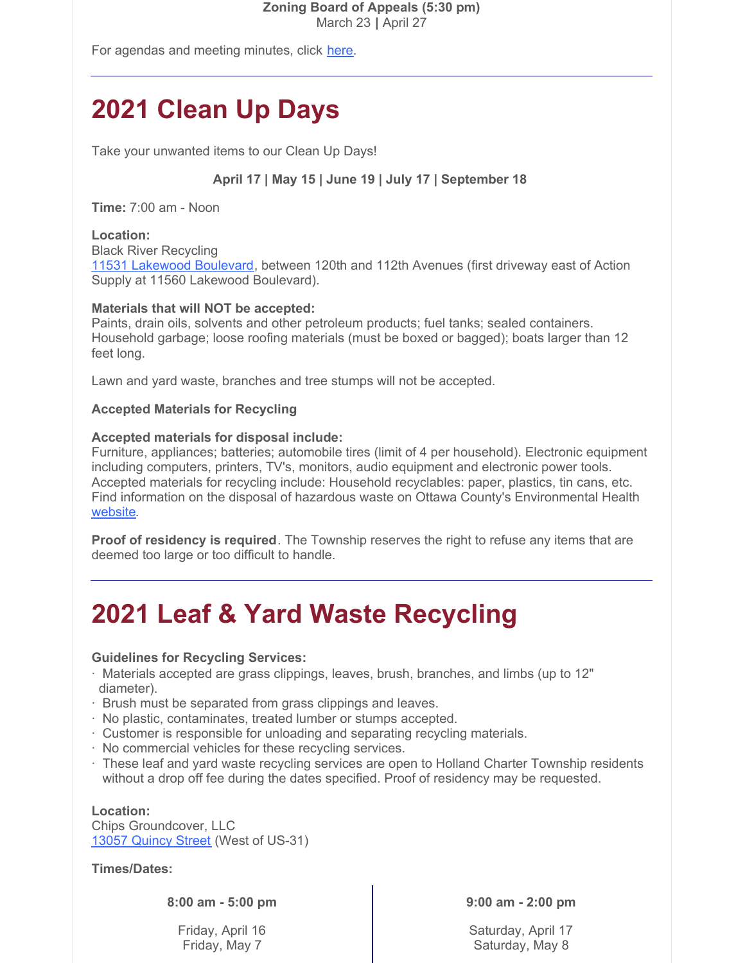#### **Zoning Board of Appeals (5:30 pm)** March 23 **|** April 27

For agendas and meeting minutes, click [here](https://www.hct.holland.mi.us/agendas-minutes).

# **2021 Clean Up Days**

Take your unwanted items to our Clean Up Days!

**April 17 | May 15 | June 19 | July 17 | September 18**

**Time:** 7:00 am - Noon

### **Location:**

Black River Recycling 11531 [Lakewood](https://goo.gl/maps/sVKkwpL1B9Thbtgh6) Boulevard, between 120th and 112th Avenues (first driveway east of Action Supply at 11560 Lakewood Boulevard).

### **Materials that will NOT be accepted:**

Paints, drain oils, solvents and other petroleum products; fuel tanks; sealed containers. Household garbage; loose roofing materials (must be boxed or bagged); boats larger than 12 feet long.

Lawn and yard waste, branches and tree stumps will not be accepted.

#### **Accepted Materials for Recycling**

#### **Accepted materials for disposal include:**

Furniture, appliances; batteries; automobile tires (limit of 4 per household). Electronic equipment including computers, printers, TV's, monitors, audio equipment and electronic power tools. Accepted materials for recycling include: Household recyclables: paper, plastics, tin cans, etc. Find information on the disposal of hazardous waste on Ottawa County's Environmental Health [website](https://www.miottawa.org/Health/OCHD/eco.htm).

**Proof of residency is required**. The Township reserves the right to refuse any items that are deemed too large or too difficult to handle.

## **2021 Leaf & Yard Waste Recycling**

#### **Guidelines for Recycling Services:**

- · Materials accepted are grass clippings, leaves, brush, branches, and limbs (up to 12" diameter).
- · Brush must be separated from grass clippings and leaves.
- · No plastic, contaminates, treated lumber or stumps accepted.
- · Customer is responsible for unloading and separating recycling materials.
- · No commercial vehicles for these recycling services.
- · These leaf and yard waste recycling services are open to Holland Charter Township residents without a drop off fee during the dates specified. Proof of residency may be requested.

#### **Location:**

Chips Groundcover, LLC 13057 [Quincy](https://goo.gl/maps/GzuMexp8JEsLTvWk7) Street (West of US-31)

**Times/Dates:**

**8:00 am - 5:00 pm**

Friday, April 16 Friday, May 7

**9:00 am - 2:00 pm**

Saturday, April 17 Saturday, May 8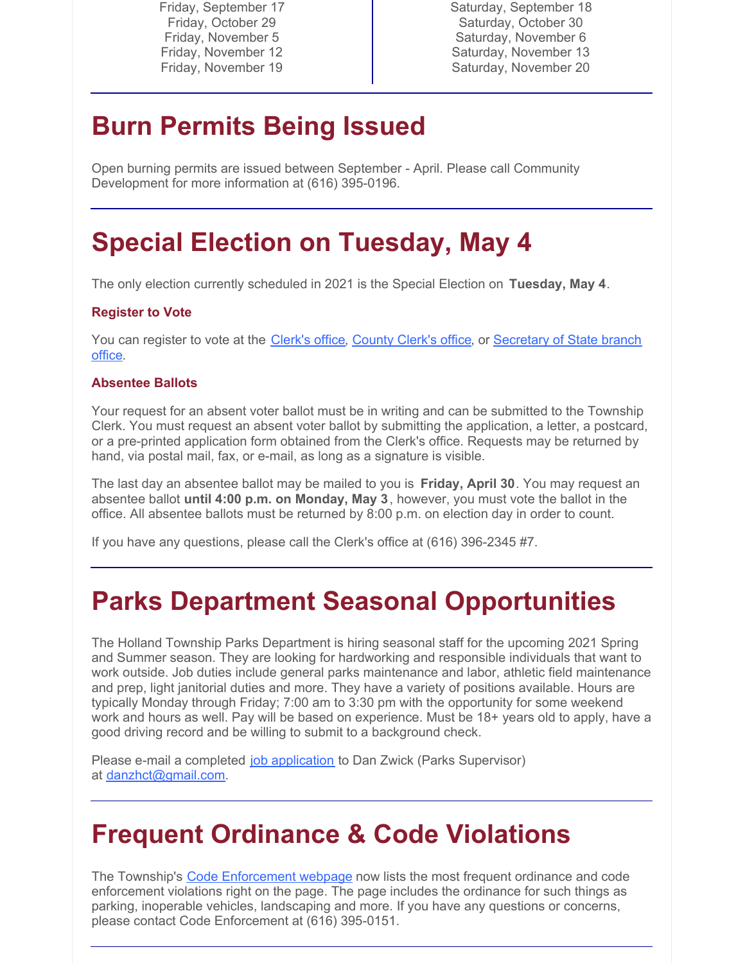Friday, September 17 Friday, October 29 Friday, November 5 Friday, November 12 Friday, November 19

Saturday, September 18 Saturday, October 30 Saturday, November 6 Saturday, November 13 Saturday, November 20

## **Burn Permits Being Issued**

Open burning permits are issued between September - April. Please call Community Development for more information at (616) 395-0196.

## **Special Election on Tuesday, May 4**

The only election currently scheduled in 2021 is the Special Election on **Tuesday, May 4**.

### **Register to Vote**

You can register to vote at the [Clerk's](https://goo.gl/maps/LqMSWR744RVLjm6q7) office, [County](https://goo.gl/maps/DgebwtzqeNRCXfS7A) Clerk's office, or [Secretary](https://services2.sos.state.mi.us/servicelocator/) of State branch office.

#### **Absentee Ballots**

Your request for an absent voter ballot must be in writing and can be submitted to the Township Clerk. You must request an absent voter ballot by submitting the application, a letter, a postcard, or a pre-printed application form obtained from the Clerk's office. Requests may be returned by hand, via postal mail, fax, or e-mail, as long as a signature is visible.

The last day an absentee ballot may be mailed to you is **Friday, April 30**. You may request an absentee ballot **until 4:00 p.m. on Monday, May 3**, however, you must vote the ballot in the office. All absentee ballots must be returned by 8:00 p.m. on election day in order to count.

If you have any questions, please call the Clerk's office at (616) 396-2345 #7.

## **Parks Department Seasonal Opportunities**

The Holland Township Parks Department is hiring seasonal staff for the upcoming 2021 Spring and Summer season. They are looking for hardworking and responsible individuals that want to work outside. Job duties include general parks maintenance and labor, athletic field maintenance and prep, light janitorial duties and more. They have a variety of positions available. Hours are typically Monday through Friday; 7:00 am to 3:30 pm with the opportunity for some weekend work and hours as well. Pay will be based on experience. Must be 18+ years old to apply, have a good driving record and be willing to submit to a background check.

Please e-mail a completed job [application](https://files.constantcontact.com/72c0c2df201/900ff6dc-10d0-4cad-9f3f-69e03279ccdb.pdf) to Dan Zwick (Parks Supervisor) at [danzhct@gmail.com](mailto:danzhct@gmail.com).

### **Frequent Ordinance & Code Violations**

The Township's Code [Enforcement](https://www.hct.holland.mi.us/departments/community-development/code-enforcement) webpage now lists the most frequent ordinance and code enforcement violations right on the page. The page includes the ordinance for such things as parking, inoperable vehicles, landscaping and more. If you have any questions or concerns, please contact Code Enforcement at (616) 395-0151.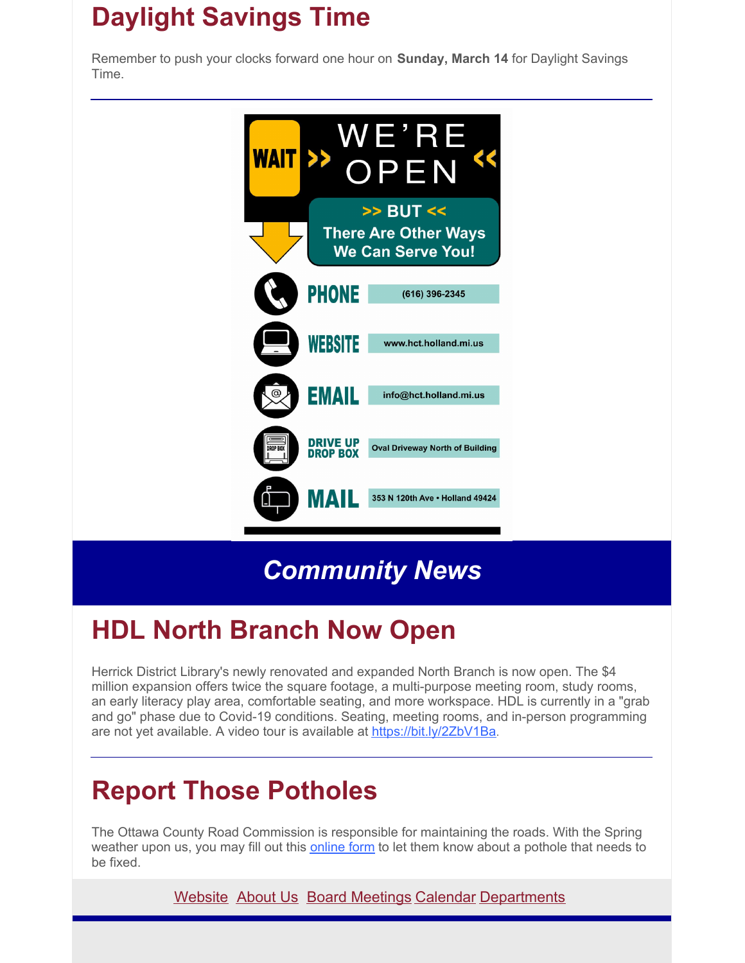# **Daylight Savings Time**

Remember to push your clocks forward one hour on **Sunday, March 14** for Daylight Savings Time.



*Community News*

# **HDL North Branch Now Open**

Herrick District Library's newly renovated and expanded North Branch is now open. The \$4 million expansion offers twice the square footage, a multi-purpose meeting room, study rooms, an early literacy play area, comfortable seating, and more workspace. HDL is currently in a "grab and go" phase due to Covid-19 conditions. Seating, meeting rooms, and in-person programming are not yet available. A video tour is available at <https://bit.ly/2ZbV1Ba>.

## **Report Those Potholes**

The Ottawa County Road Commission is responsible for maintaining the roads. With the Spring weather upon us, you may fill out this [online](http://www.ottawacorc.com/contact/service-requests/) form to let them know about a pothole that needs to be fixed.

[Website](http://www.hct.holland.mi.us/) [About](http://www.hct.holland.mi.us/about-us) Us Board [Meetings](https://www.hct.holland.mi.us/deadlines-schedules) [Calendar](https://www.hct.holland.mi.us/calendar) [Departments](http://www.hct.holland.mi.us/departments)